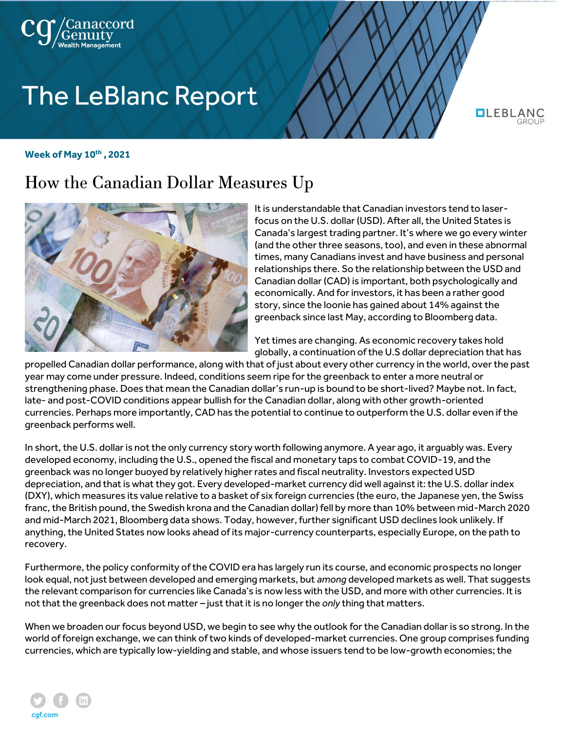

# **The LeBlanc Report**

**QLEBLAN** 

#### **Week of May 10th , 2021**

## How the Canadian Dollar Measures Up



It is understandable that Canadian investors tend to laserfocus on the U.S. dollar (USD). After all, the United States is Canada's largest trading partner. It's where we go every winter (and the other three seasons, too), and even in these abnormal times, many Canadians invest and have business and personal relationships there. So the relationship between the USD and Canadian dollar (CAD) is important, both psychologically and economically. And for investors, it has been a rather good story, since the loonie has gained about 14% against the greenback since last May, according to Bloomberg data.

Yet times are changing. As economic recovery takes hold globally, a continuation of the U.S dollar depreciation that has

propelled Canadian dollar performance, along with that of just about every other currency in the world, over the past year may come under pressure. Indeed, conditions seem ripe for the greenback to enter a more neutral or strengthening phase. Does that mean the Canadian dollar's run-up is bound to be short-lived? Maybe not. In fact, late- and post-COVID conditions appear bullish for the Canadian dollar, along with other growth-oriented currencies. Perhaps more importantly, CAD has the potential to continue to outperform the U.S. dollar even if the greenback performs well.

In short, the U.S. dollar is not the only currency story worth following anymore. A year ago, it arguably was. Every developed economy, including the U.S., opened the fiscal and monetary taps to combat COVID-19, and the greenback was no longer buoyed by relatively higher rates and fiscal neutrality. Investors expected USD depreciation, and that is what they got. Every developed-market currency did well against it: the U.S. dollar index (DXY), which measures its value relative to a basket of six foreign currencies (the euro, the Japanese yen, the Swiss franc, the British pound, the Swedish krona and the Canadian dollar) fell by more than 10% between mid-March 2020 and mid-March 2021, Bloomberg data shows. Today, however, further significant USD declines look unlikely. If anything, the United States now looks ahead of its major-currency counterparts, especially Europe, on the path to recovery.

Furthermore, the policy conformity of the COVID era has largely run its course, and economic prospects no longer look equal, not just between developed and emerging markets, but *among* developed markets as well. That suggests the relevant comparison for currencies like Canada's is now less with the USD, and more with other currencies. It is not that the greenback does not matter – just that it is no longer the *only* thing that matters.

When we broaden our focus beyond USD, we begin to see why the outlook for the Canadian dollar is so strong. In the world of foreign exchange, we can think of two kinds of developed-market currencies. One group comprises funding currencies, which are typically low-yielding and stable, and whose issuers tend to be low-growth economies; the

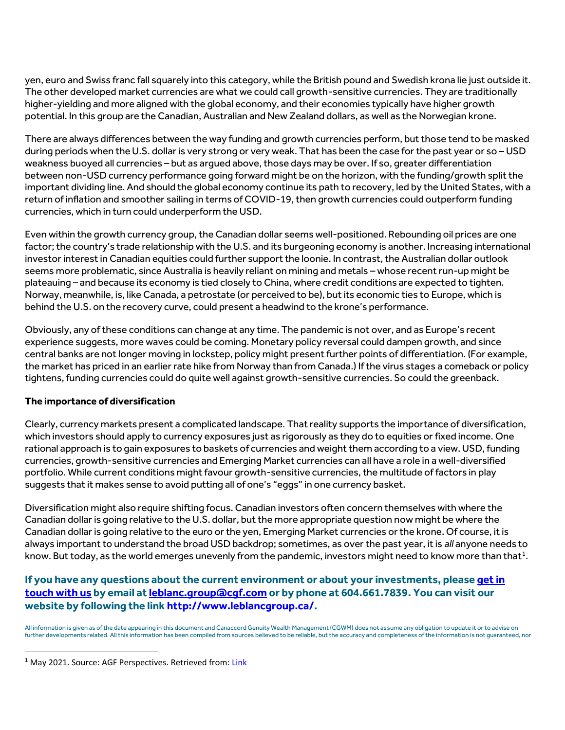yen, euro and Swiss franc fall squarely into this category, while the British pound and Swedish krona lie just outside it. The other developed market currencies are what we could call growth-sensitive currencies. They are traditionally higher-yielding and more aligned with the global economy, and their economies typically have higher growth potential. In this group are the Canadian, Australian and New Zealand dollars, as well as the Norwegian krone.

There are always differences between the way funding and growth currencies perform, but those tend to be masked during periods when the U.S. dollar is very strong or very weak. That has been the case for the past year or so – USD weakness buoyed all currencies – but as argued above, those days may be over. If so, greater differentiation between non-USD currency performance going forward might be on the horizon, with the funding/growth split the important dividing line. And should the global economy continue its path to recovery, led by the United States, with a return of inflation and smoother sailing in terms of COVID-19, then growth currencies could outperform funding currencies, which in turn could underperform the USD.

Even within the growth currency group, the Canadian dollar seems well-positioned. Rebounding oil prices are one factor; the country's trade relationship with the U.S. and its burgeoning economy is another. Increasing international investor interest in Canadian equities could further support the loonie. In contrast, the Australian dollar outlook seems more problematic, since Australia is heavily reliant on mining and metals – whose recent run-up might be plateauing – and because its economy is tied closely to China, where credit conditions are expected to tighten. Norway, meanwhile, is, like Canada, a petrostate (or perceived to be), but its economic ties to Europe, which is behind the U.S. on the recovery curve, could present a headwind to the krone's performance.

Obviously, any of these conditions can change at any time. The pandemic is not over, and as Europe's recent experience suggests, more waves could be coming. Monetary policy reversal could dampen growth, and since central banks are not longer moving in lockstep, policy might present further points of differentiation. (For example, the market has priced in an earlier rate hike from Norway than from Canada.) If the virus stages a comeback or policy tightens, funding currencies could do quite well against growth-sensitive currencies. So could the greenback.

### **The importance of diversification**

Clearly, currency markets present a complicated landscape. That reality supports the importance of diversification, which investors should apply to currency exposures just as rigorously as they do to equities or fixed income. One rational approach is to gain exposures to baskets of currencies and weight them according to a view. USD, funding currencies, growth-sensitive currencies and Emerging Market currencies can all have a role in a well-diversified portfolio. While current conditions might favour growth-sensitive currencies, the multitude of factors in play suggests that it makes sense to avoid putting all of one's "eggs" in one currency basket.

Diversification might also require shifting focus. Canadian investors often concern themselves with where the Canadian dollar is going relative to the U.S. dollar, but the more appropriate question now might be where the Canadian dollar is going relative to the euro or the yen, Emerging Market currencies or the krone. Of course, it is always important to understand the broad USD backdrop; sometimes, as over the past year, it is *all* anyone needs to know. But today, as the world emerges unevenly from the pandemic, investors might need to know more than that $^{\rm 1}.$ 

### **If you have any questions about the current environment or about your investments, please [get in](https://www.leblancgroup.ca/contact)  [touch with](https://www.leblancgroup.ca/contact) us by email a[t leblanc.group@cgf.com](mailto:leblanc.group@cgf.com) or by phone at 604.661.7839. You can visit our website by following the link [http://www.leblancgroup.ca/.](http://www.leblancgroup.ca/)**

All information is given as of the date appearing in this document and Canaccord Genuity Wealth Management (CGWM) does not assume any obligation to update it or to advise on further developments related. All this information has been compiled from sources believed to be reliable, but the accuracy and completeness of the information is not guaranteed, nor

<sup>&</sup>lt;sup>1</sup> May 2021. Source: AGF Perspectives. Retrieved from[: Link](https://perspectives.agf.com/article-how-the-canadian-dollar-measures-up/)